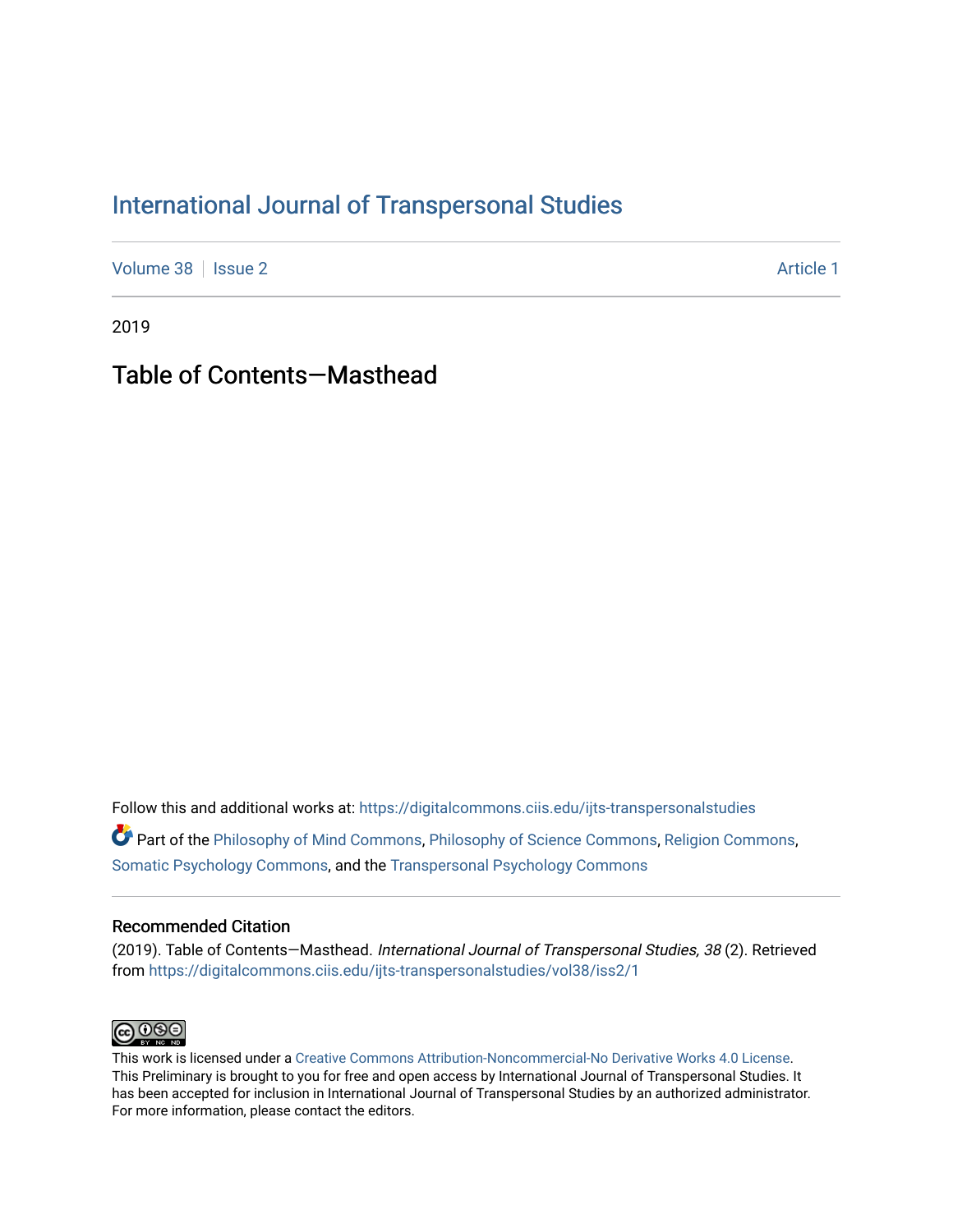## [International Journal of Transpersonal Studies](https://digitalcommons.ciis.edu/ijts-transpersonalstudies)

[Volume 38](https://digitalcommons.ciis.edu/ijts-transpersonalstudies/vol38) | [Issue 2](https://digitalcommons.ciis.edu/ijts-transpersonalstudies/vol38/iss2) Article 1

2019

# Table of Contents—Masthead

Follow this and additional works at: [https://digitalcommons.ciis.edu/ijts-transpersonalstudies](https://digitalcommons.ciis.edu/ijts-transpersonalstudies?utm_source=digitalcommons.ciis.edu%2Fijts-transpersonalstudies%2Fvol38%2Fiss2%2F1&utm_medium=PDF&utm_campaign=PDFCoverPages)  Part of the [Philosophy of Mind Commons](http://network.bepress.com/hgg/discipline/535?utm_source=digitalcommons.ciis.edu%2Fijts-transpersonalstudies%2Fvol38%2Fiss2%2F1&utm_medium=PDF&utm_campaign=PDFCoverPages), [Philosophy of Science Commons,](http://network.bepress.com/hgg/discipline/536?utm_source=digitalcommons.ciis.edu%2Fijts-transpersonalstudies%2Fvol38%2Fiss2%2F1&utm_medium=PDF&utm_campaign=PDFCoverPages) [Religion Commons](http://network.bepress.com/hgg/discipline/538?utm_source=digitalcommons.ciis.edu%2Fijts-transpersonalstudies%2Fvol38%2Fiss2%2F1&utm_medium=PDF&utm_campaign=PDFCoverPages), [Somatic Psychology Commons,](http://network.bepress.com/hgg/discipline/1431?utm_source=digitalcommons.ciis.edu%2Fijts-transpersonalstudies%2Fvol38%2Fiss2%2F1&utm_medium=PDF&utm_campaign=PDFCoverPages) and the [Transpersonal Psychology Commons](http://network.bepress.com/hgg/discipline/1388?utm_source=digitalcommons.ciis.edu%2Fijts-transpersonalstudies%2Fvol38%2Fiss2%2F1&utm_medium=PDF&utm_campaign=PDFCoverPages) 

### Recommended Citation

(2019). Table of Contents—Masthead. International Journal of Transpersonal Studies, 38 (2). Retrieved from [https://digitalcommons.ciis.edu/ijts-transpersonalstudies/vol38/iss2/1](https://digitalcommons.ciis.edu/ijts-transpersonalstudies/vol38/iss2/1?utm_source=digitalcommons.ciis.edu%2Fijts-transpersonalstudies%2Fvol38%2Fiss2%2F1&utm_medium=PDF&utm_campaign=PDFCoverPages)



This work is licensed under a [Creative Commons Attribution-Noncommercial-No Derivative Works 4.0 License.](https://creativecommons.org/licenses/by-nc-nd/4.0/) This Preliminary is brought to you for free and open access by International Journal of Transpersonal Studies. It has been accepted for inclusion in International Journal of Transpersonal Studies by an authorized administrator. For more information, please contact the editors.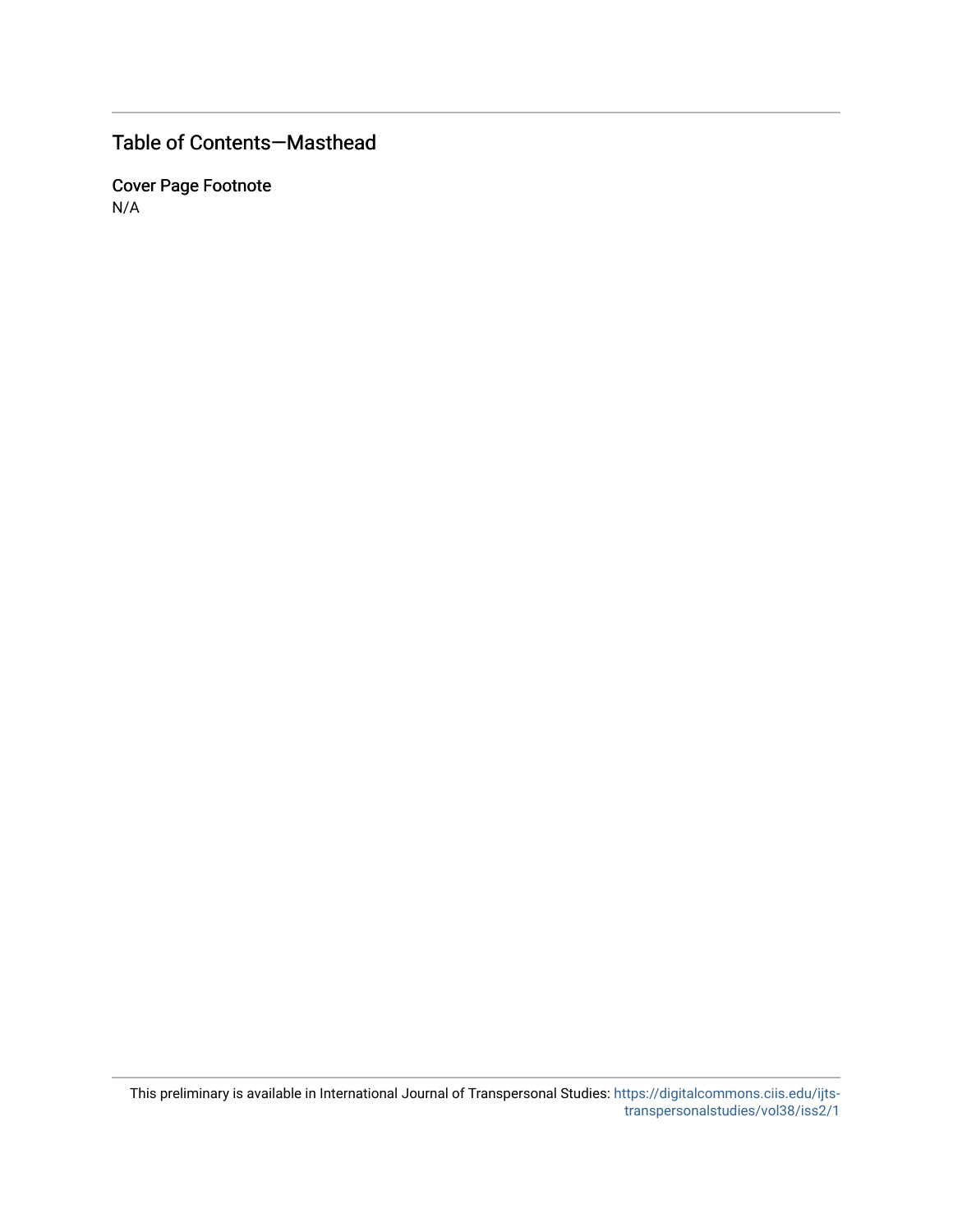### Table of Contents—Masthead

Cover Page Footnote N/A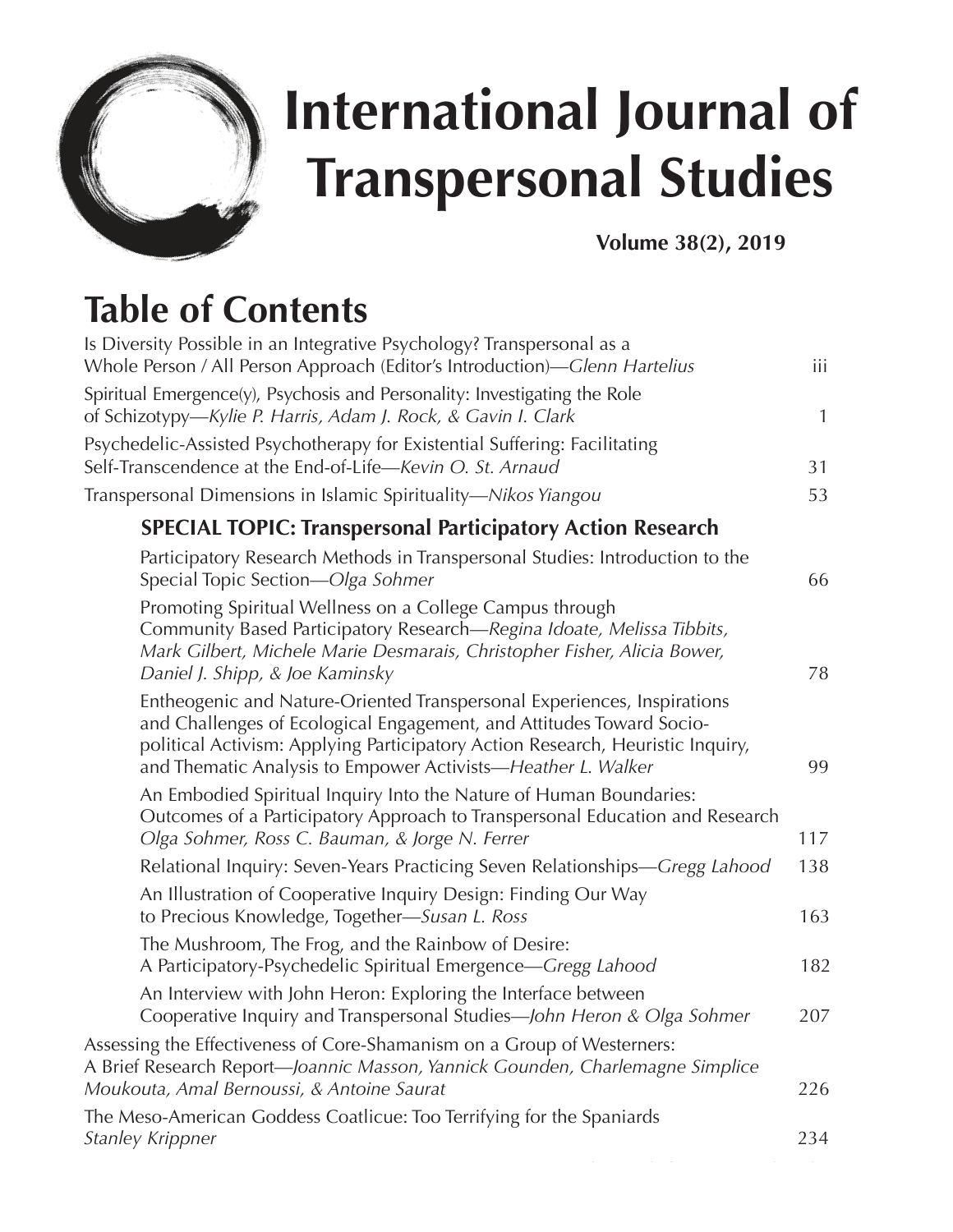

# **International Journal of Transpersonal Studies**

**Volume 38(2), 2019**

# **Table of Contents**

| Is Diversity Possible in an Integrative Psychology? Transpersonal as a<br>Whole Person / All Person Approach (Editor's Introduction)—Glenn Hartelius                                                                                                                                              | iii |
|---------------------------------------------------------------------------------------------------------------------------------------------------------------------------------------------------------------------------------------------------------------------------------------------------|-----|
| Spiritual Emergence(y), Psychosis and Personality: Investigating the Role<br>of Schizotypy-Kylie P. Harris, Adam J. Rock, & Gavin I. Clark                                                                                                                                                        | 1   |
| Psychedelic-Assisted Psychotherapy for Existential Suffering: Facilitating<br>Self-Transcendence at the End-of-Life-Kevin O. St. Arnaud                                                                                                                                                           | 31  |
| Transpersonal Dimensions in Islamic Spirituality-Nikos Yiangou                                                                                                                                                                                                                                    | 53  |
| <b>SPECIAL TOPIC: Transpersonal Participatory Action Research</b>                                                                                                                                                                                                                                 |     |
| Participatory Research Methods in Transpersonal Studies: Introduction to the<br>Special Topic Section-Olga Sohmer                                                                                                                                                                                 | 66  |
| Promoting Spiritual Wellness on a College Campus through<br>Community Based Participatory Research-Regina Idoate, Melissa Tibbits,<br>Mark Gilbert, Michele Marie Desmarais, Christopher Fisher, Alicia Bower,<br>Daniel J. Shipp, & Joe Kaminsky                                                 | 78  |
| Entheogenic and Nature-Oriented Transpersonal Experiences, Inspirations<br>and Challenges of Ecological Engagement, and Attitudes Toward Socio-<br>political Activism: Applying Participatory Action Research, Heuristic Inquiry,<br>and Thematic Analysis to Empower Activists—Heather L. Walker | 99  |
| An Embodied Spiritual Inquiry Into the Nature of Human Boundaries:<br>Outcomes of a Participatory Approach to Transpersonal Education and Research<br>Olga Sohmer, Ross C. Bauman, & Jorge N. Ferrer                                                                                              | 117 |
| Relational Inquiry: Seven-Years Practicing Seven Relationships-Gregg Lahood                                                                                                                                                                                                                       | 138 |
| An Illustration of Cooperative Inquiry Design: Finding Our Way<br>to Precious Knowledge, Together-Susan L. Ross                                                                                                                                                                                   | 163 |
| The Mushroom, The Frog, and the Rainbow of Desire:<br>A Participatory-Psychedelic Spiritual Emergence-Gregg Lahood                                                                                                                                                                                | 182 |
| An Interview with John Heron: Exploring the Interface between<br>Cooperative Inquiry and Transpersonal Studies-John Heron & Olga Sohmer                                                                                                                                                           | 207 |
| Assessing the Effectiveness of Core-Shamanism on a Group of Westerners:<br>A Brief Research Report-Joannic Masson, Yannick Gounden, Charlemagne Simplice<br>Moukouta, Amal Bernoussi, & Antoine Saurat                                                                                            | 226 |
| The Meso-American Goddess Coatlicue: Too Terrifying for the Spaniards<br><b>Stanley Krippner</b>                                                                                                                                                                                                  | 234 |